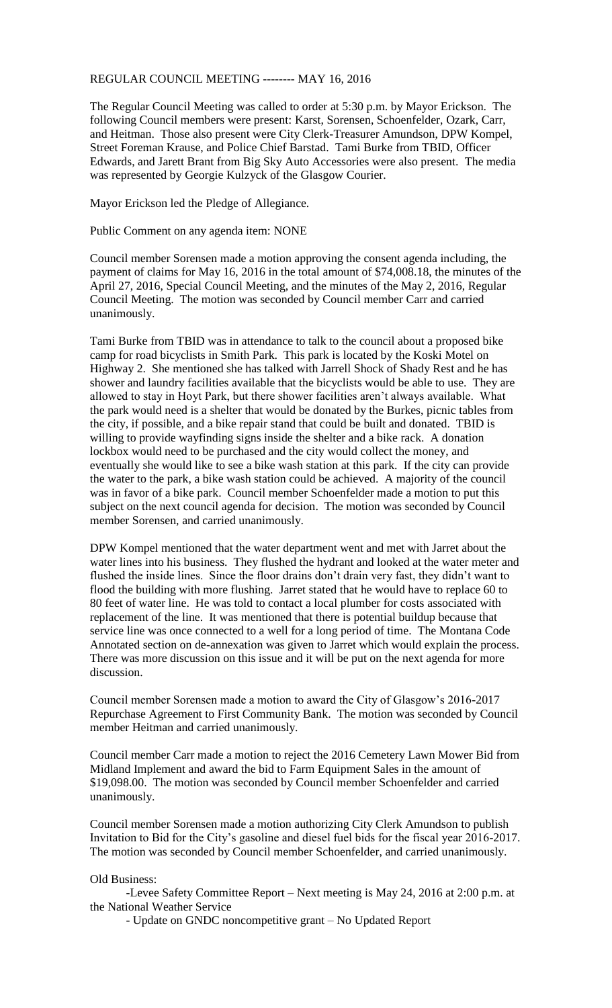## REGULAR COUNCIL MEETING -------- MAY 16, 2016

The Regular Council Meeting was called to order at 5:30 p.m. by Mayor Erickson. The following Council members were present: Karst, Sorensen, Schoenfelder, Ozark, Carr, and Heitman. Those also present were City Clerk-Treasurer Amundson, DPW Kompel, Street Foreman Krause, and Police Chief Barstad. Tami Burke from TBID, Officer Edwards, and Jarett Brant from Big Sky Auto Accessories were also present. The media was represented by Georgie Kulzyck of the Glasgow Courier.

Mayor Erickson led the Pledge of Allegiance.

Public Comment on any agenda item: NONE

Council member Sorensen made a motion approving the consent agenda including, the payment of claims for May 16, 2016 in the total amount of \$74,008.18, the minutes of the April 27, 2016, Special Council Meeting, and the minutes of the May 2, 2016, Regular Council Meeting. The motion was seconded by Council member Carr and carried unanimously.

Tami Burke from TBID was in attendance to talk to the council about a proposed bike camp for road bicyclists in Smith Park. This park is located by the Koski Motel on Highway 2. She mentioned she has talked with Jarrell Shock of Shady Rest and he has shower and laundry facilities available that the bicyclists would be able to use. They are allowed to stay in Hoyt Park, but there shower facilities aren't always available. What the park would need is a shelter that would be donated by the Burkes, picnic tables from the city, if possible, and a bike repair stand that could be built and donated. TBID is willing to provide wayfinding signs inside the shelter and a bike rack. A donation lockbox would need to be purchased and the city would collect the money, and eventually she would like to see a bike wash station at this park. If the city can provide the water to the park, a bike wash station could be achieved. A majority of the council was in favor of a bike park. Council member Schoenfelder made a motion to put this subject on the next council agenda for decision. The motion was seconded by Council member Sorensen, and carried unanimously.

DPW Kompel mentioned that the water department went and met with Jarret about the water lines into his business. They flushed the hydrant and looked at the water meter and flushed the inside lines. Since the floor drains don't drain very fast, they didn't want to flood the building with more flushing. Jarret stated that he would have to replace 60 to 80 feet of water line. He was told to contact a local plumber for costs associated with replacement of the line. It was mentioned that there is potential buildup because that service line was once connected to a well for a long period of time. The Montana Code Annotated section on de-annexation was given to Jarret which would explain the process. There was more discussion on this issue and it will be put on the next agenda for more discussion.

Council member Sorensen made a motion to award the City of Glasgow's 2016-2017 Repurchase Agreement to First Community Bank. The motion was seconded by Council member Heitman and carried unanimously.

Council member Carr made a motion to reject the 2016 Cemetery Lawn Mower Bid from Midland Implement and award the bid to Farm Equipment Sales in the amount of \$19,098.00. The motion was seconded by Council member Schoenfelder and carried unanimously.

Council member Sorensen made a motion authorizing City Clerk Amundson to publish Invitation to Bid for the City's gasoline and diesel fuel bids for the fiscal year 2016-2017. The motion was seconded by Council member Schoenfelder, and carried unanimously.

## Old Business:

-Levee Safety Committee Report – Next meeting is May 24, 2016 at 2:00 p.m. at the National Weather Service

- Update on GNDC noncompetitive grant – No Updated Report